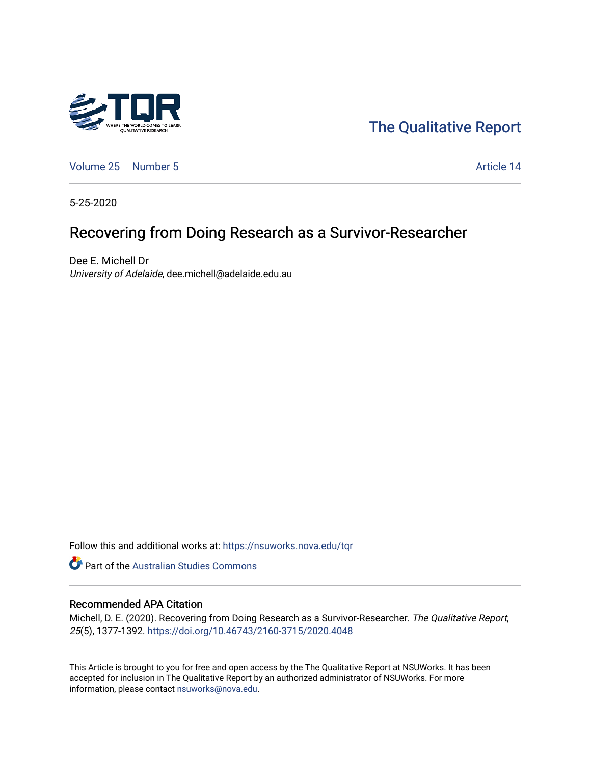

[The Qualitative Report](https://nsuworks.nova.edu/tqr) 

[Volume 25](https://nsuworks.nova.edu/tqr/vol25) [Number 5](https://nsuworks.nova.edu/tqr/vol25/iss5) Article 14

5-25-2020

# Recovering from Doing Research as a Survivor-Researcher

Dee E. Michell Dr University of Adelaide, dee.michell@adelaide.edu.au

Follow this and additional works at: [https://nsuworks.nova.edu/tqr](https://nsuworks.nova.edu/tqr?utm_source=nsuworks.nova.edu%2Ftqr%2Fvol25%2Fiss5%2F14&utm_medium=PDF&utm_campaign=PDFCoverPages) 

Part of the [Australian Studies Commons](http://network.bepress.com/hgg/discipline/1020?utm_source=nsuworks.nova.edu%2Ftqr%2Fvol25%2Fiss5%2F14&utm_medium=PDF&utm_campaign=PDFCoverPages)

#### Recommended APA Citation

Michell, D. E. (2020). Recovering from Doing Research as a Survivor-Researcher. The Qualitative Report, 25(5), 1377-1392. <https://doi.org/10.46743/2160-3715/2020.4048>

This Article is brought to you for free and open access by the The Qualitative Report at NSUWorks. It has been accepted for inclusion in The Qualitative Report by an authorized administrator of NSUWorks. For more information, please contact [nsuworks@nova.edu.](mailto:nsuworks@nova.edu)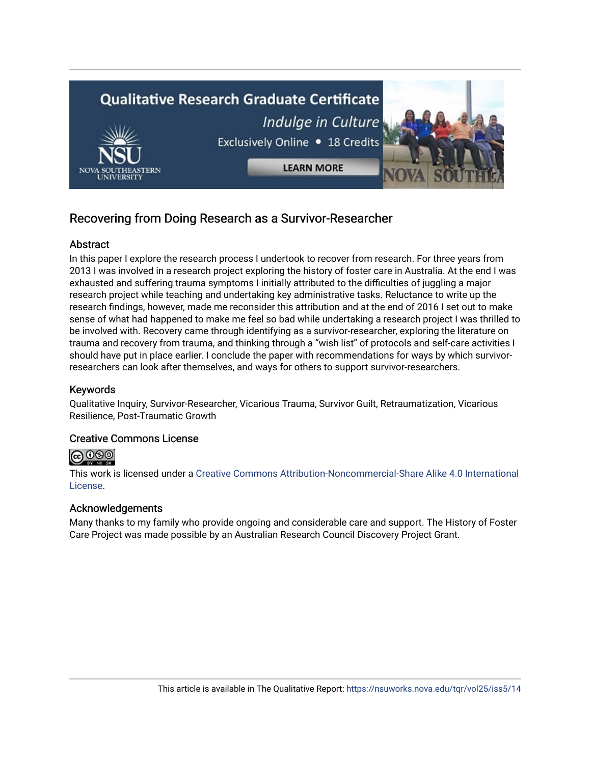

## Recovering from Doing Research as a Survivor-Researcher

## **Abstract**

In this paper I explore the research process I undertook to recover from research. For three years from 2013 I was involved in a research project exploring the history of foster care in Australia. At the end I was exhausted and suffering trauma symptoms I initially attributed to the difficulties of juggling a major research project while teaching and undertaking key administrative tasks. Reluctance to write up the research findings, however, made me reconsider this attribution and at the end of 2016 I set out to make sense of what had happened to make me feel so bad while undertaking a research project I was thrilled to be involved with. Recovery came through identifying as a survivor-researcher, exploring the literature on trauma and recovery from trauma, and thinking through a "wish list" of protocols and self-care activities I should have put in place earlier. I conclude the paper with recommendations for ways by which survivorresearchers can look after themselves, and ways for others to support survivor-researchers.

## Keywords

Qualitative Inquiry, Survivor-Researcher, Vicarious Trauma, Survivor Guilt, Retraumatization, Vicarious Resilience, Post-Traumatic Growth

## Creative Commons License



This work is licensed under a [Creative Commons Attribution-Noncommercial-Share Alike 4.0 International](https://creativecommons.org/licenses/by-nc-sa/4.0/)  [License](https://creativecommons.org/licenses/by-nc-sa/4.0/).

## Acknowledgements

Many thanks to my family who provide ongoing and considerable care and support. The History of Foster Care Project was made possible by an Australian Research Council Discovery Project Grant.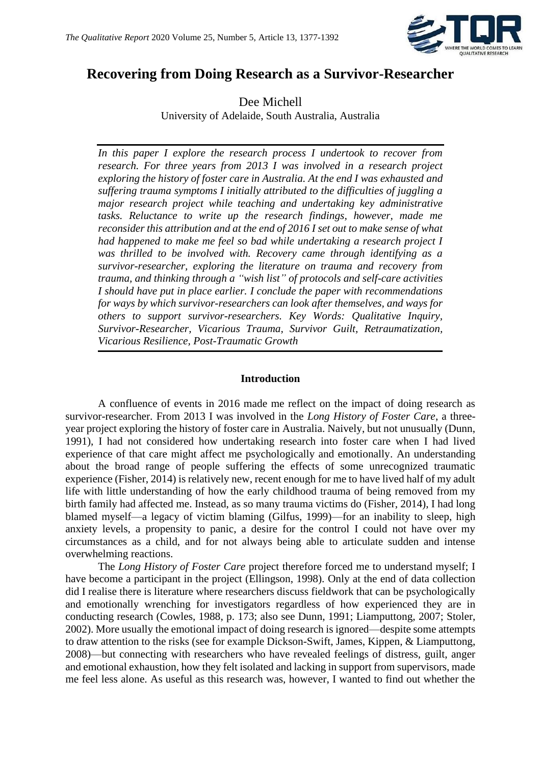

## **Recovering from Doing Research as a Survivor-Researcher**

Dee Michell University of Adelaide, South Australia, Australia

*In this paper I explore the research process I undertook to recover from research. For three years from 2013 I was involved in a research project exploring the history of foster care in Australia. At the end I was exhausted and suffering trauma symptoms I initially attributed to the difficulties of juggling a major research project while teaching and undertaking key administrative tasks. Reluctance to write up the research findings, however, made me reconsider this attribution and at the end of 2016 I set out to make sense of what had happened to make me feel so bad while undertaking a research project I was thrilled to be involved with. Recovery came through identifying as a survivor-researcher, exploring the literature on trauma and recovery from trauma, and thinking through a "wish list" of protocols and self-care activities I should have put in place earlier. I conclude the paper with recommendations for ways by which survivor-researchers can look after themselves, and ways for others to support survivor-researchers. Key Words: Qualitative Inquiry, Survivor-Researcher, Vicarious Trauma, Survivor Guilt, Retraumatization, Vicarious Resilience, Post-Traumatic Growth*

#### **Introduction**

A confluence of events in 2016 made me reflect on the impact of doing research as survivor-researcher. From 2013 I was involved in the *Long History of Foster Care*, a threeyear project exploring the history of foster care in Australia. Naively, but not unusually (Dunn, 1991), I had not considered how undertaking research into foster care when I had lived experience of that care might affect me psychologically and emotionally. An understanding about the broad range of people suffering the effects of some unrecognized traumatic experience (Fisher, 2014) is relatively new, recent enough for me to have lived half of my adult life with little understanding of how the early childhood trauma of being removed from my birth family had affected me. Instead, as so many trauma victims do (Fisher, 2014), I had long blamed myself—a legacy of victim blaming (Gilfus, 1999)—for an inability to sleep, high anxiety levels, a propensity to panic, a desire for the control I could not have over my circumstances as a child, and for not always being able to articulate sudden and intense overwhelming reactions.

The *Long History of Foster Care* project therefore forced me to understand myself; I have become a participant in the project (Ellingson, 1998). Only at the end of data collection did I realise there is literature where researchers discuss fieldwork that can be psychologically and emotionally wrenching for investigators regardless of how experienced they are in conducting research (Cowles, 1988, p. 173; also see Dunn, 1991; Liamputtong, 2007; Stoler, 2002). More usually the emotional impact of doing research is ignored—despite some attempts to draw attention to the risks (see for example Dickson-Swift, James, Kippen, & Liamputtong, 2008)—but connecting with researchers who have revealed feelings of distress, guilt, anger and emotional exhaustion, how they felt isolated and lacking in support from supervisors, made me feel less alone. As useful as this research was, however, I wanted to find out whether the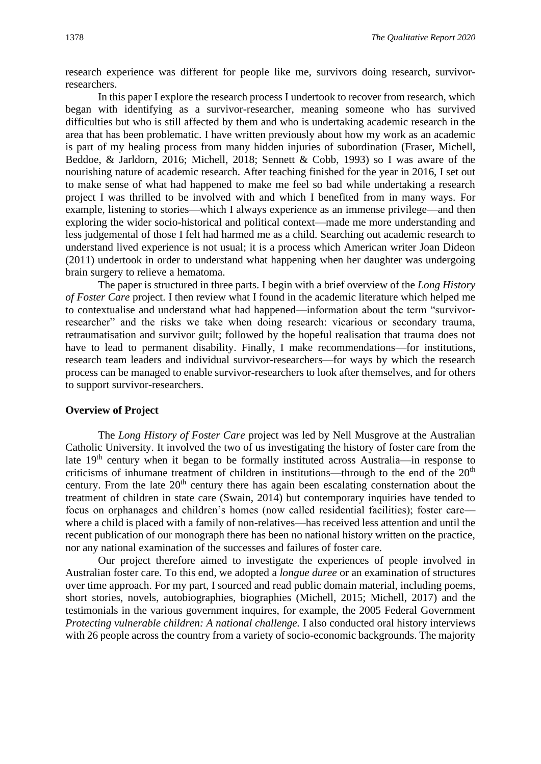research experience was different for people like me, survivors doing research, survivorresearchers.

In this paper I explore the research process I undertook to recover from research, which began with identifying as a survivor-researcher, meaning someone who has survived difficulties but who is still affected by them and who is undertaking academic research in the area that has been problematic. I have written previously about how my work as an academic is part of my healing process from many hidden injuries of subordination (Fraser, Michell, Beddoe, & Jarldorn, 2016; Michell, 2018; Sennett & Cobb, 1993) so I was aware of the nourishing nature of academic research. After teaching finished for the year in 2016, I set out to make sense of what had happened to make me feel so bad while undertaking a research project I was thrilled to be involved with and which I benefited from in many ways. For example, listening to stories—which I always experience as an immense privilege—and then exploring the wider socio-historical and political context—made me more understanding and less judgemental of those I felt had harmed me as a child. Searching out academic research to understand lived experience is not usual; it is a process which American writer Joan Dideon (2011) undertook in order to understand what happening when her daughter was undergoing brain surgery to relieve a hematoma.

The paper is structured in three parts. I begin with a brief overview of the *Long History of Foster Care* project. I then review what I found in the academic literature which helped me to contextualise and understand what had happened—information about the term "survivorresearcher" and the risks we take when doing research: vicarious or secondary trauma, retraumatisation and survivor guilt; followed by the hopeful realisation that trauma does not have to lead to permanent disability. Finally, I make recommendations—for institutions, research team leaders and individual survivor-researchers—for ways by which the research process can be managed to enable survivor-researchers to look after themselves, and for others to support survivor-researchers.

#### **Overview of Project**

The *Long History of Foster Care* project was led by Nell Musgrove at the Australian Catholic University. It involved the two of us investigating the history of foster care from the late 19th century when it began to be formally instituted across Australia—in response to criticisms of inhumane treatment of children in institutions—through to the end of the 20<sup>th</sup> century. From the late  $20<sup>th</sup>$  century there has again been escalating consternation about the treatment of children in state care (Swain, 2014) but contemporary inquiries have tended to focus on orphanages and children's homes (now called residential facilities); foster care where a child is placed with a family of non-relatives—has received less attention and until the recent publication of our monograph there has been no national history written on the practice, nor any national examination of the successes and failures of foster care.

Our project therefore aimed to investigate the experiences of people involved in Australian foster care. To this end, we adopted a *longue duree* or an examination of structures over time approach. For my part, I sourced and read public domain material, including poems, short stories, novels, autobiographies, biographies (Michell, 2015; Michell, 2017) and the testimonials in the various government inquires, for example, the 2005 Federal Government *Protecting vulnerable children: A national challenge.* I also conducted oral history interviews with 26 people across the country from a variety of socio-economic backgrounds. The majority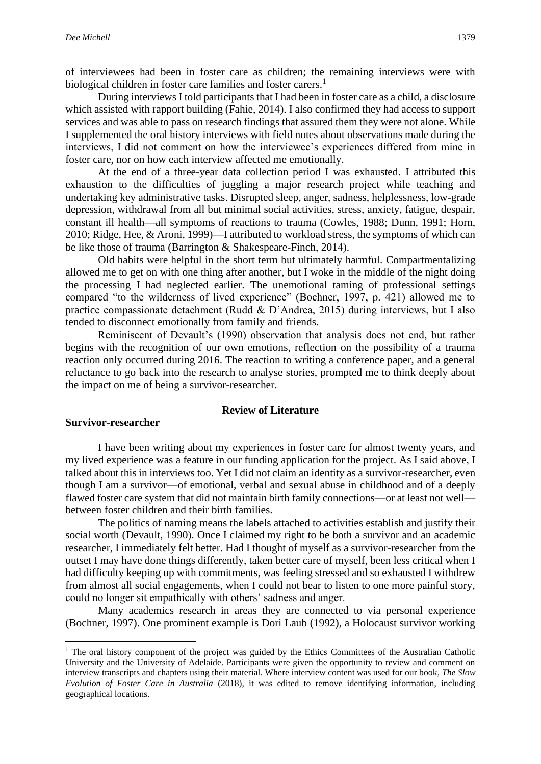of interviewees had been in foster care as children; the remaining interviews were with biological children in foster care families and foster carers.<sup>1</sup>

During interviews I told participants that I had been in foster care as a child, a disclosure which assisted with rapport building (Fahie, 2014). I also confirmed they had access to support services and was able to pass on research findings that assured them they were not alone. While I supplemented the oral history interviews with field notes about observations made during the interviews, I did not comment on how the interviewee's experiences differed from mine in foster care, nor on how each interview affected me emotionally.

At the end of a three-year data collection period I was exhausted. I attributed this exhaustion to the difficulties of juggling a major research project while teaching and undertaking key administrative tasks. Disrupted sleep, anger, sadness, helplessness, low-grade depression, withdrawal from all but minimal social activities, stress, anxiety, fatigue, despair, constant ill health—all symptoms of reactions to trauma (Cowles, 1988; Dunn, 1991; Horn, 2010; Ridge, Hee, & Aroni, 1999)—I attributed to workload stress, the symptoms of which can be like those of trauma (Barrington & Shakespeare-Finch, 2014).

Old habits were helpful in the short term but ultimately harmful. Compartmentalizing allowed me to get on with one thing after another, but I woke in the middle of the night doing the processing I had neglected earlier. The unemotional taming of professional settings compared "to the wilderness of lived experience" (Bochner, 1997, p. 421) allowed me to practice compassionate detachment (Rudd & D'Andrea, 2015) during interviews, but I also tended to disconnect emotionally from family and friends.

Reminiscent of Devault's (1990) observation that analysis does not end, but rather begins with the recognition of our own emotions, reflection on the possibility of a trauma reaction only occurred during 2016. The reaction to writing a conference paper, and a general reluctance to go back into the research to analyse stories, prompted me to think deeply about the impact on me of being a survivor-researcher.

#### **Review of Literature**

#### **Survivor-researcher**

I have been writing about my experiences in foster care for almost twenty years, and my lived experience was a feature in our funding application for the project. As I said above, I talked about this in interviews too. Yet I did not claim an identity as a survivor-researcher, even though I am a survivor—of emotional, verbal and sexual abuse in childhood and of a deeply flawed foster care system that did not maintain birth family connections—or at least not well between foster children and their birth families.

The politics of naming means the labels attached to activities establish and justify their social worth (Devault, 1990). Once I claimed my right to be both a survivor and an academic researcher, I immediately felt better. Had I thought of myself as a survivor-researcher from the outset I may have done things differently, taken better care of myself, been less critical when I had difficulty keeping up with commitments, was feeling stressed and so exhausted I withdrew from almost all social engagements, when I could not bear to listen to one more painful story, could no longer sit empathically with others' sadness and anger.

Many academics research in areas they are connected to via personal experience (Bochner, 1997). One prominent example is Dori Laub (1992), a Holocaust survivor working

<sup>&</sup>lt;sup>1</sup> The oral history component of the project was guided by the Ethics Committees of the Australian Catholic University and the University of Adelaide. Participants were given the opportunity to review and comment on interview transcripts and chapters using their material. Where interview content was used for our book, *The Slow Evolution of Foster Care in Australia* (2018), it was edited to remove identifying information, including geographical locations.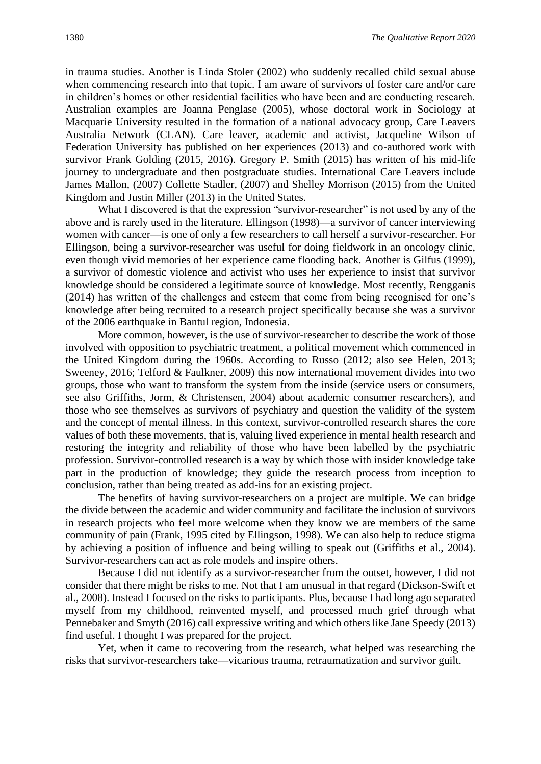in trauma studies. Another is Linda Stoler (2002) who suddenly recalled child sexual abuse when commencing research into that topic. I am aware of survivors of foster care and/or care in children's homes or other residential facilities who have been and are conducting research. Australian examples are Joanna Penglase (2005), whose doctoral work in Sociology at Macquarie University resulted in the formation of a national advocacy group, Care Leavers Australia Network (CLAN). Care leaver, academic and activist, Jacqueline Wilson of Federation University has published on her experiences (2013) and co-authored work with survivor Frank Golding (2015, 2016). Gregory P. Smith (2015) has written of his mid-life journey to undergraduate and then postgraduate studies. International Care Leavers include James Mallon, (2007) Collette Stadler, (2007) and Shelley Morrison (2015) from the United Kingdom and Justin Miller (2013) in the United States.

What I discovered is that the expression "survivor-researcher" is not used by any of the above and is rarely used in the literature. Ellingson (1998)—a survivor of cancer interviewing women with cancer—is one of only a few researchers to call herself a survivor-researcher. For Ellingson, being a survivor-researcher was useful for doing fieldwork in an oncology clinic, even though vivid memories of her experience came flooding back. Another is Gilfus (1999), a survivor of domestic violence and activist who uses her experience to insist that survivor knowledge should be considered a legitimate source of knowledge. Most recently, Rengganis (2014) has written of the challenges and esteem that come from being recognised for one's knowledge after being recruited to a research project specifically because she was a survivor of the 2006 earthquake in Bantul region, Indonesia.

More common, however, is the use of survivor-researcher to describe the work of those involved with opposition to psychiatric treatment, a political movement which commenced in the United Kingdom during the 1960s. According to Russo (2012; also see Helen, 2013; Sweeney, 2016; Telford & Faulkner, 2009) this now international movement divides into two groups, those who want to transform the system from the inside (service users or consumers, see also Griffiths, Jorm, & Christensen, 2004) about academic consumer researchers), and those who see themselves as survivors of psychiatry and question the validity of the system and the concept of mental illness. In this context, survivor-controlled research shares the core values of both these movements, that is, valuing lived experience in mental health research and restoring the integrity and reliability of those who have been labelled by the psychiatric profession. Survivor-controlled research is a way by which those with insider knowledge take part in the production of knowledge; they guide the research process from inception to conclusion, rather than being treated as add-ins for an existing project.

The benefits of having survivor-researchers on a project are multiple. We can bridge the divide between the academic and wider community and facilitate the inclusion of survivors in research projects who feel more welcome when they know we are members of the same community of pain (Frank, 1995 cited by Ellingson, 1998). We can also help to reduce stigma by achieving a position of influence and being willing to speak out (Griffiths et al., 2004). Survivor-researchers can act as role models and inspire others.

Because I did not identify as a survivor-researcher from the outset, however, I did not consider that there might be risks to me. Not that I am unusual in that regard (Dickson-Swift et al., 2008). Instead I focused on the risks to participants. Plus, because I had long ago separated myself from my childhood, reinvented myself, and processed much grief through what Pennebaker and Smyth (2016) call expressive writing and which others like Jane Speedy (2013) find useful. I thought I was prepared for the project.

Yet, when it came to recovering from the research, what helped was researching the risks that survivor-researchers take—vicarious trauma, retraumatization and survivor guilt.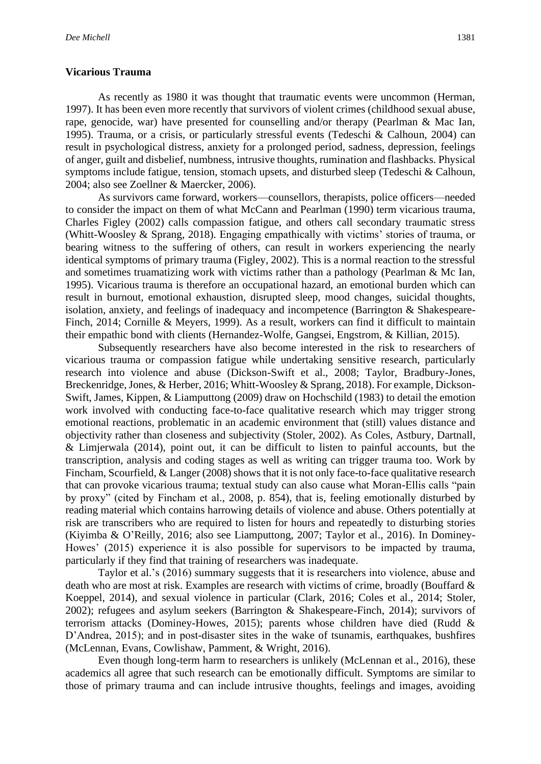#### **Vicarious Trauma**

As recently as 1980 it was thought that traumatic events were uncommon (Herman, 1997). It has been even more recently that survivors of violent crimes (childhood sexual abuse, rape, genocide, war) have presented for counselling and/or therapy (Pearlman & Mac Ian, 1995). Trauma, or a crisis, or particularly stressful events (Tedeschi & Calhoun, 2004) can result in psychological distress, anxiety for a prolonged period, sadness, depression, feelings of anger, guilt and disbelief, numbness, intrusive thoughts, rumination and flashbacks. Physical symptoms include fatigue, tension, stomach upsets, and disturbed sleep (Tedeschi & Calhoun, 2004; also see Zoellner & Maercker, 2006).

As survivors came forward, workers—counsellors, therapists, police officers—needed to consider the impact on them of what McCann and Pearlman (1990) term vicarious trauma, Charles Figley (2002) calls compassion fatigue, and others call secondary traumatic stress (Whitt-Woosley & Sprang, 2018). Engaging empathically with victims' stories of trauma, or bearing witness to the suffering of others, can result in workers experiencing the nearly identical symptoms of primary trauma (Figley, 2002). This is a normal reaction to the stressful and sometimes truamatizing work with victims rather than a pathology (Pearlman & Mc Ian, 1995). Vicarious trauma is therefore an occupational hazard, an emotional burden which can result in burnout, emotional exhaustion, disrupted sleep, mood changes, suicidal thoughts, isolation, anxiety, and feelings of inadequacy and incompetence (Barrington & Shakespeare-Finch, 2014; Cornille & Meyers, 1999). As a result, workers can find it difficult to maintain their empathic bond with clients (Hernandez-Wolfe, Gangsei, Engstrom, & Killian, 2015).

Subsequently researchers have also become interested in the risk to researchers of vicarious trauma or compassion fatigue while undertaking sensitive research, particularly research into violence and abuse (Dickson-Swift et al., 2008; Taylor, Bradbury-Jones, Breckenridge, Jones, & Herber, 2016; Whitt-Woosley & Sprang, 2018). For example, Dickson-Swift, James, Kippen, & Liamputtong (2009) draw on Hochschild (1983) to detail the emotion work involved with conducting face-to-face qualitative research which may trigger strong emotional reactions, problematic in an academic environment that (still) values distance and objectivity rather than closeness and subjectivity (Stoler, 2002). As Coles, Astbury, Dartnall, & Limjerwala (2014), point out, it can be difficult to listen to painful accounts, but the transcription, analysis and coding stages as well as writing can trigger trauma too. Work by Fincham, Scourfield, & Langer (2008) shows that it is not only face-to-face qualitative research that can provoke vicarious trauma; textual study can also cause what Moran-Ellis calls "pain by proxy" (cited by Fincham et al., 2008, p. 854), that is, feeling emotionally disturbed by reading material which contains harrowing details of violence and abuse. Others potentially at risk are transcribers who are required to listen for hours and repeatedly to disturbing stories (Kiyimba & O'Reilly, 2016; also see Liamputtong, 2007; Taylor et al., 2016). In Dominey-Howes' (2015) experience it is also possible for supervisors to be impacted by trauma, particularly if they find that training of researchers was inadequate.

Taylor et al.'s (2016) summary suggests that it is researchers into violence, abuse and death who are most at risk. Examples are research with victims of crime, broadly (Bouffard & Koeppel, 2014), and sexual violence in particular (Clark, 2016; Coles et al., 2014; Stoler, 2002); refugees and asylum seekers (Barrington & Shakespeare-Finch, 2014); survivors of terrorism attacks (Dominey-Howes, 2015); parents whose children have died (Rudd & D'Andrea, 2015); and in post-disaster sites in the wake of tsunamis, earthquakes, bushfires (McLennan, Evans, Cowlishaw, Pamment, & Wright, 2016).

Even though long-term harm to researchers is unlikely (McLennan et al., 2016), these academics all agree that such research can be emotionally difficult. Symptoms are similar to those of primary trauma and can include intrusive thoughts, feelings and images, avoiding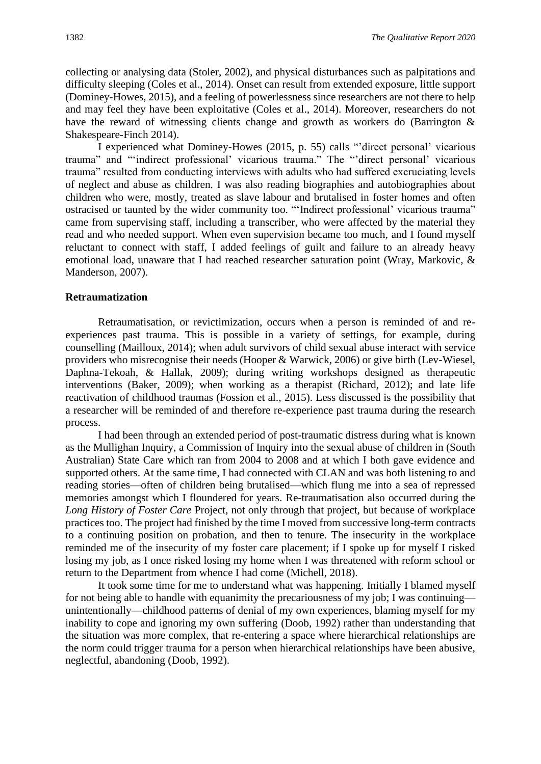collecting or analysing data (Stoler, 2002), and physical disturbances such as palpitations and difficulty sleeping (Coles et al., 2014). Onset can result from extended exposure, little support (Dominey-Howes, 2015), and a feeling of powerlessness since researchers are not there to help and may feel they have been exploitative (Coles et al., 2014). Moreover, researchers do not have the reward of witnessing clients change and growth as workers do (Barrington & Shakespeare-Finch 2014).

I experienced what Dominey-Howes (2015, p. 55) calls "'direct personal' vicarious trauma" and "'indirect professional' vicarious trauma." The "'direct personal' vicarious trauma" resulted from conducting interviews with adults who had suffered excruciating levels of neglect and abuse as children. I was also reading biographies and autobiographies about children who were, mostly, treated as slave labour and brutalised in foster homes and often ostracised or taunted by the wider community too. "'Indirect professional' vicarious trauma" came from supervising staff, including a transcriber, who were affected by the material they read and who needed support. When even supervision became too much, and I found myself reluctant to connect with staff, I added feelings of guilt and failure to an already heavy emotional load, unaware that I had reached researcher saturation point (Wray, Markovic, & Manderson, 2007).

#### **Retraumatization**

Retraumatisation, or revictimization, occurs when a person is reminded of and reexperiences past trauma. This is possible in a variety of settings, for example, during counselling (Mailloux, 2014); when adult survivors of child sexual abuse interact with service providers who misrecognise their needs (Hooper & Warwick, 2006) or give birth (Lev-Wiesel, Daphna-Tekoah, & Hallak, 2009); during writing workshops designed as therapeutic interventions (Baker, 2009); when working as a therapist (Richard, 2012); and late life reactivation of childhood traumas (Fossion et al., 2015). Less discussed is the possibility that a researcher will be reminded of and therefore re-experience past trauma during the research process.

I had been through an extended period of post-traumatic distress during what is known as the Mullighan Inquiry, a Commission of Inquiry into the sexual abuse of children in (South Australian) State Care which ran from 2004 to 2008 and at which I both gave evidence and supported others. At the same time, I had connected with CLAN and was both listening to and reading stories—often of children being brutalised—which flung me into a sea of repressed memories amongst which I floundered for years. Re-traumatisation also occurred during the *Long History of Foster Care* Project, not only through that project, but because of workplace practices too. The project had finished by the time I moved from successive long-term contracts to a continuing position on probation, and then to tenure. The insecurity in the workplace reminded me of the insecurity of my foster care placement; if I spoke up for myself I risked losing my job, as I once risked losing my home when I was threatened with reform school or return to the Department from whence I had come (Michell, 2018).

It took some time for me to understand what was happening. Initially I blamed myself for not being able to handle with equanimity the precariousness of my job; I was continuing unintentionally—childhood patterns of denial of my own experiences, blaming myself for my inability to cope and ignoring my own suffering (Doob, 1992) rather than understanding that the situation was more complex, that re-entering a space where hierarchical relationships are the norm could trigger trauma for a person when hierarchical relationships have been abusive, neglectful, abandoning (Doob, 1992).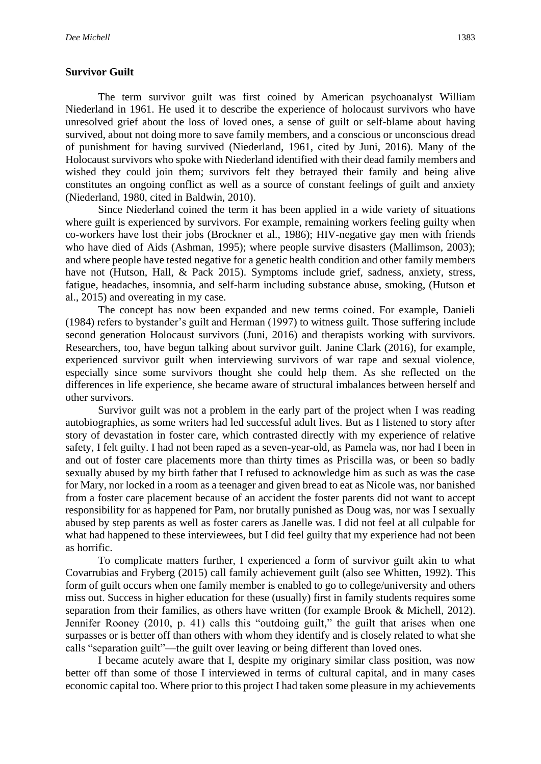#### **Survivor Guilt**

The term survivor guilt was first coined by American psychoanalyst William Niederland in 1961. He used it to describe the experience of holocaust survivors who have unresolved grief about the loss of loved ones, a sense of guilt or self-blame about having survived, about not doing more to save family members, and a conscious or unconscious dread of punishment for having survived (Niederland, 1961, cited by Juni, 2016). Many of the Holocaust survivors who spoke with Niederland identified with their dead family members and wished they could join them; survivors felt they betrayed their family and being alive constitutes an ongoing conflict as well as a source of constant feelings of guilt and anxiety (Niederland, 1980, cited in Baldwin, 2010).

Since Niederland coined the term it has been applied in a wide variety of situations where guilt is experienced by survivors. For example, remaining workers feeling guilty when co-workers have lost their jobs (Brockner et al., 1986); HIV-negative gay men with friends who have died of Aids (Ashman, 1995); where people survive disasters (Mallimson, 2003); and where people have tested negative for a genetic health condition and other family members have not (Hutson, Hall, & Pack 2015). Symptoms include grief, sadness, anxiety, stress, fatigue, headaches, insomnia, and self-harm including substance abuse, smoking, (Hutson et al., 2015) and overeating in my case.

The concept has now been expanded and new terms coined. For example, Danieli (1984) refers to bystander's guilt and Herman (1997) to witness guilt. Those suffering include second generation Holocaust survivors (Juni, 2016) and therapists working with survivors. Researchers, too, have begun talking about survivor guilt. Janine Clark (2016), for example, experienced survivor guilt when interviewing survivors of war rape and sexual violence, especially since some survivors thought she could help them. As she reflected on the differences in life experience, she became aware of structural imbalances between herself and other survivors.

Survivor guilt was not a problem in the early part of the project when I was reading autobiographies, as some writers had led successful adult lives. But as I listened to story after story of devastation in foster care, which contrasted directly with my experience of relative safety, I felt guilty. I had not been raped as a seven-year-old, as Pamela was, nor had I been in and out of foster care placements more than thirty times as Priscilla was, or been so badly sexually abused by my birth father that I refused to acknowledge him as such as was the case for Mary, nor locked in a room as a teenager and given bread to eat as Nicole was, nor banished from a foster care placement because of an accident the foster parents did not want to accept responsibility for as happened for Pam, nor brutally punished as Doug was, nor was I sexually abused by step parents as well as foster carers as Janelle was. I did not feel at all culpable for what had happened to these interviewees, but I did feel guilty that my experience had not been as horrific.

To complicate matters further, I experienced a form of survivor guilt akin to what Covarrubias and Fryberg (2015) call family achievement guilt (also see Whitten, 1992). This form of guilt occurs when one family member is enabled to go to college/university and others miss out. Success in higher education for these (usually) first in family students requires some separation from their families, as others have written (for example Brook & Michell, 2012). Jennifer Rooney (2010, p. 41) calls this "outdoing guilt," the guilt that arises when one surpasses or is better off than others with whom they identify and is closely related to what she calls "separation guilt"—the guilt over leaving or being different than loved ones.

I became acutely aware that I, despite my originary similar class position, was now better off than some of those I interviewed in terms of cultural capital, and in many cases economic capital too. Where prior to this project I had taken some pleasure in my achievements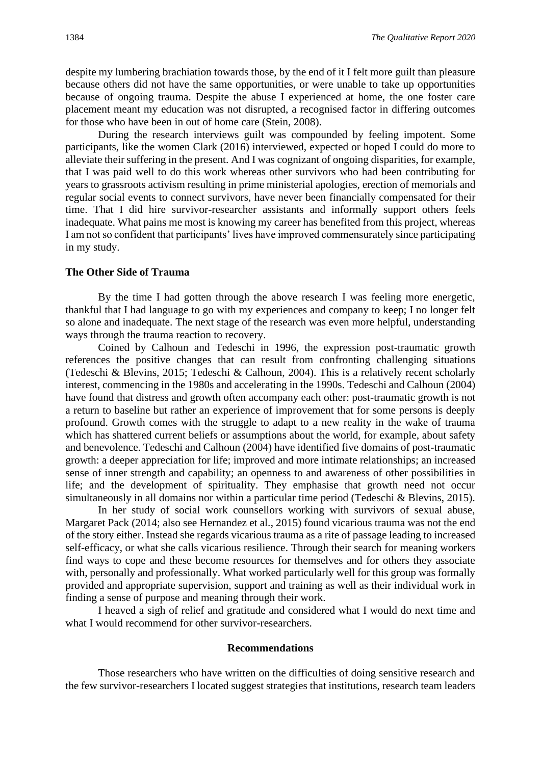despite my lumbering brachiation towards those, by the end of it I felt more guilt than pleasure because others did not have the same opportunities, or were unable to take up opportunities because of ongoing trauma. Despite the abuse I experienced at home, the one foster care placement meant my education was not disrupted, a recognised factor in differing outcomes for those who have been in out of home care (Stein, 2008).

During the research interviews guilt was compounded by feeling impotent. Some participants, like the women Clark (2016) interviewed, expected or hoped I could do more to alleviate their suffering in the present. And I was cognizant of ongoing disparities, for example, that I was paid well to do this work whereas other survivors who had been contributing for years to grassroots activism resulting in prime ministerial apologies, erection of memorials and regular social events to connect survivors, have never been financially compensated for their time. That I did hire survivor-researcher assistants and informally support others feels inadequate. What pains me most is knowing my career has benefited from this project, whereas I am not so confident that participants' lives have improved commensurately since participating in my study.

#### **The Other Side of Trauma**

By the time I had gotten through the above research I was feeling more energetic, thankful that I had language to go with my experiences and company to keep; I no longer felt so alone and inadequate. The next stage of the research was even more helpful, understanding ways through the trauma reaction to recovery.

Coined by Calhoun and Tedeschi in 1996, the expression post-traumatic growth references the positive changes that can result from confronting challenging situations (Tedeschi & Blevins, 2015; Tedeschi & Calhoun, 2004). This is a relatively recent scholarly interest, commencing in the 1980s and accelerating in the 1990s. Tedeschi and Calhoun (2004) have found that distress and growth often accompany each other: post-traumatic growth is not a return to baseline but rather an experience of improvement that for some persons is deeply profound. Growth comes with the struggle to adapt to a new reality in the wake of trauma which has shattered current beliefs or assumptions about the world, for example, about safety and benevolence. Tedeschi and Calhoun (2004) have identified five domains of post-traumatic growth: a deeper appreciation for life; improved and more intimate relationships; an increased sense of inner strength and capability; an openness to and awareness of other possibilities in life; and the development of spirituality. They emphasise that growth need not occur simultaneously in all domains nor within a particular time period (Tedeschi & Blevins, 2015).

In her study of social work counsellors working with survivors of sexual abuse, Margaret Pack (2014; also see Hernandez et al., 2015) found vicarious trauma was not the end of the story either. Instead she regards vicarious trauma as a rite of passage leading to increased self-efficacy, or what she calls vicarious resilience. Through their search for meaning workers find ways to cope and these become resources for themselves and for others they associate with, personally and professionally. What worked particularly well for this group was formally provided and appropriate supervision, support and training as well as their individual work in finding a sense of purpose and meaning through their work.

I heaved a sigh of relief and gratitude and considered what I would do next time and what I would recommend for other survivor-researchers.

#### **Recommendations**

Those researchers who have written on the difficulties of doing sensitive research and the few survivor-researchers I located suggest strategies that institutions, research team leaders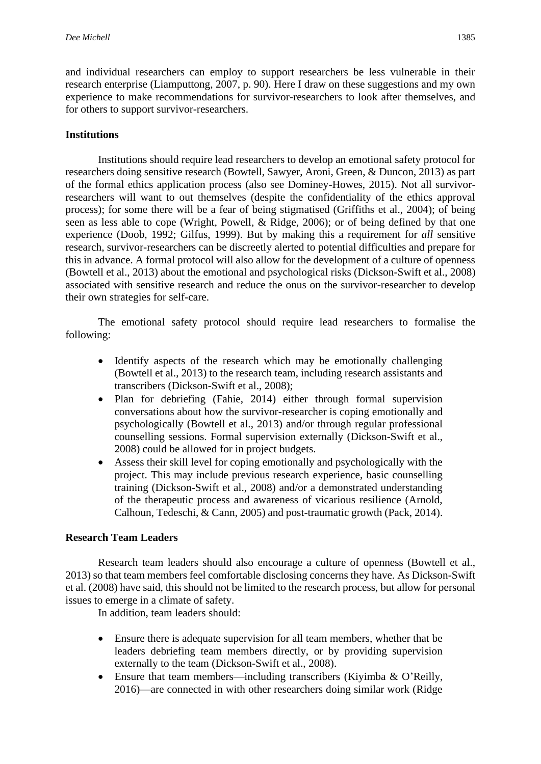and individual researchers can employ to support researchers be less vulnerable in their research enterprise (Liamputtong, 2007, p. 90). Here I draw on these suggestions and my own experience to make recommendations for survivor-researchers to look after themselves, and for others to support survivor-researchers.

## **Institutions**

Institutions should require lead researchers to develop an emotional safety protocol for researchers doing sensitive research (Bowtell, Sawyer, Aroni, Green, & Duncon, 2013) as part of the formal ethics application process (also see Dominey-Howes, 2015). Not all survivorresearchers will want to out themselves (despite the confidentiality of the ethics approval process); for some there will be a fear of being stigmatised (Griffiths et al., 2004); of being seen as less able to cope (Wright, Powell, & Ridge, 2006); or of being defined by that one experience (Doob, 1992; Gilfus, 1999). But by making this a requirement for *all* sensitive research, survivor-researchers can be discreetly alerted to potential difficulties and prepare for this in advance. A formal protocol will also allow for the development of a culture of openness (Bowtell et al., 2013) about the emotional and psychological risks (Dickson-Swift et al., 2008) associated with sensitive research and reduce the onus on the survivor-researcher to develop their own strategies for self-care.

The emotional safety protocol should require lead researchers to formalise the following:

- Identify aspects of the research which may be emotionally challenging (Bowtell et al., 2013) to the research team, including research assistants and transcribers (Dickson-Swift et al., 2008);
- Plan for debriefing (Fahie, 2014) either through formal supervision conversations about how the survivor-researcher is coping emotionally and psychologically (Bowtell et al., 2013) and/or through regular professional counselling sessions. Formal supervision externally (Dickson-Swift et al., 2008) could be allowed for in project budgets.
- Assess their skill level for coping emotionally and psychologically with the project. This may include previous research experience, basic counselling training (Dickson-Swift et al., 2008) and/or a demonstrated understanding of the therapeutic process and awareness of vicarious resilience (Arnold, Calhoun, Tedeschi, & Cann, 2005) and post-traumatic growth (Pack, 2014).

## **Research Team Leaders**

Research team leaders should also encourage a culture of openness (Bowtell et al., 2013) so that team members feel comfortable disclosing concerns they have. As Dickson-Swift et al. (2008) have said, this should not be limited to the research process, but allow for personal issues to emerge in a climate of safety.

In addition, team leaders should:

- Ensure there is adequate supervision for all team members, whether that be leaders debriefing team members directly, or by providing supervision externally to the team (Dickson-Swift et al., 2008).
- Ensure that team members—including transcribers (Kiyimba & O'Reilly, 2016)—are connected in with other researchers doing similar work (Ridge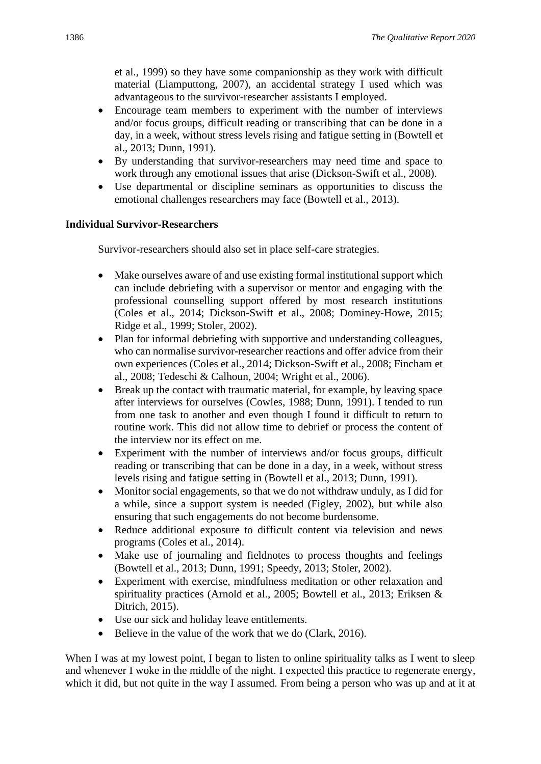et al., 1999) so they have some companionship as they work with difficult material (Liamputtong, 2007), an accidental strategy I used which was advantageous to the survivor-researcher assistants I employed.

- Encourage team members to experiment with the number of interviews and/or focus groups, difficult reading or transcribing that can be done in a day, in a week, without stress levels rising and fatigue setting in (Bowtell et al., 2013; Dunn, 1991).
- By understanding that survivor-researchers may need time and space to work through any emotional issues that arise (Dickson-Swift et al., 2008).
- Use departmental or discipline seminars as opportunities to discuss the emotional challenges researchers may face (Bowtell et al., 2013).

## **Individual Survivor-Researchers**

Survivor-researchers should also set in place self-care strategies.

- Make ourselves aware of and use existing formal institutional support which can include debriefing with a supervisor or mentor and engaging with the professional counselling support offered by most research institutions (Coles et al., 2014; Dickson-Swift et al., 2008; Dominey-Howe, 2015; Ridge et al., 1999; Stoler, 2002).
- Plan for informal debriefing with supportive and understanding colleagues, who can normalise survivor-researcher reactions and offer advice from their own experiences (Coles et al., 2014; Dickson-Swift et al., 2008; Fincham et al., 2008; Tedeschi & Calhoun, 2004; Wright et al., 2006).
- Break up the contact with traumatic material, for example, by leaving space after interviews for ourselves (Cowles, 1988; Dunn, 1991). I tended to run from one task to another and even though I found it difficult to return to routine work. This did not allow time to debrief or process the content of the interview nor its effect on me.
- Experiment with the number of interviews and/or focus groups, difficult reading or transcribing that can be done in a day, in a week, without stress levels rising and fatigue setting in (Bowtell et al., 2013; Dunn, 1991).
- Monitor social engagements, so that we do not withdraw unduly, as I did for a while, since a support system is needed (Figley, 2002), but while also ensuring that such engagements do not become burdensome.
- Reduce additional exposure to difficult content via television and news programs (Coles et al., 2014).
- Make use of journaling and fieldnotes to process thoughts and feelings (Bowtell et al., 2013; Dunn, 1991; Speedy, 2013; Stoler, 2002).
- Experiment with exercise, mindfulness meditation or other relaxation and spirituality practices (Arnold et al., 2005; Bowtell et al., 2013; Eriksen & Ditrich, 2015).
- Use our sick and holiday leave entitlements.
- Believe in the value of the work that we do (Clark, 2016).

When I was at my lowest point, I began to listen to online spirituality talks as I went to sleep and whenever I woke in the middle of the night. I expected this practice to regenerate energy, which it did, but not quite in the way I assumed. From being a person who was up and at it at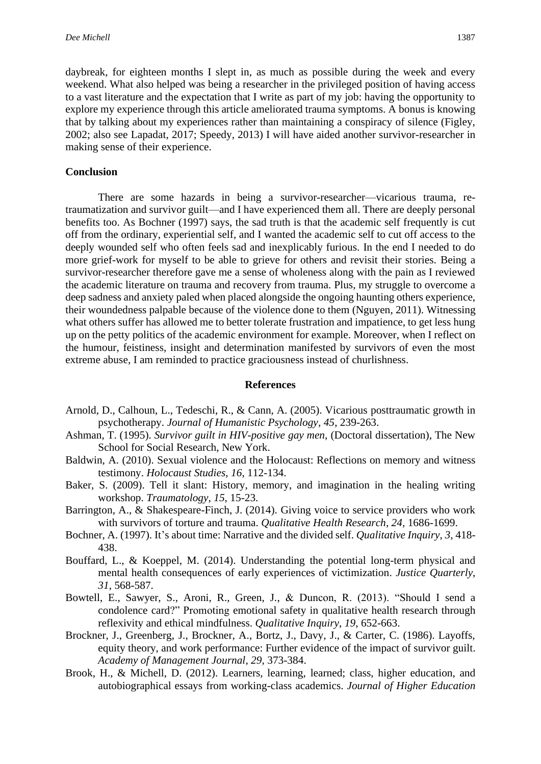daybreak, for eighteen months I slept in, as much as possible during the week and every weekend. What also helped was being a researcher in the privileged position of having access to a vast literature and the expectation that I write as part of my job: having the opportunity to explore my experience through this article ameliorated trauma symptoms. A bonus is knowing that by talking about my experiences rather than maintaining a conspiracy of silence (Figley, 2002; also see Lapadat, 2017; Speedy, 2013) I will have aided another survivor-researcher in making sense of their experience.

### **Conclusion**

There are some hazards in being a survivor-researcher—vicarious trauma, retraumatization and survivor guilt—and I have experienced them all. There are deeply personal benefits too. As Bochner (1997) says, the sad truth is that the academic self frequently is cut off from the ordinary, experiential self, and I wanted the academic self to cut off access to the deeply wounded self who often feels sad and inexplicably furious. In the end I needed to do more grief-work for myself to be able to grieve for others and revisit their stories. Being a survivor-researcher therefore gave me a sense of wholeness along with the pain as I reviewed the academic literature on trauma and recovery from trauma. Plus, my struggle to overcome a deep sadness and anxiety paled when placed alongside the ongoing haunting others experience, their woundedness palpable because of the violence done to them (Nguyen, 2011). Witnessing what others suffer has allowed me to better tolerate frustration and impatience, to get less hung up on the petty politics of the academic environment for example. Moreover, when I reflect on the humour, feistiness, insight and determination manifested by survivors of even the most extreme abuse, I am reminded to practice graciousness instead of churlishness.

#### **References**

- Arnold, D., Calhoun, L., Tedeschi, R., & Cann, A. (2005). Vicarious posttraumatic growth in psychotherapy. *Journal of Humanistic Psychology, 45*, 239-263.
- Ashman, T. (1995). *Survivor guilt in HIV-positive gay men*, (Doctoral dissertation), The New School for Social Research, New York.
- Baldwin, A. (2010). Sexual violence and the Holocaust: Reflections on memory and witness testimony. *Holocaust Studies*, *16*, 112-134.
- Baker, S. (2009). Tell it slant: History, memory, and imagination in the healing writing workshop. *Traumatology*, *15*, 15-23.
- Barrington, A., & Shakespeare-Finch, J. (2014). Giving voice to service providers who work with survivors of torture and trauma. *Qualitative Health Research*, *24,* 1686-1699.
- Bochner, A. (1997). It's about time: Narrative and the divided self. *Qualitative Inquiry*, *3,* 418- 438.
- Bouffard, L., & Koeppel, M. (2014). Understanding the potential long-term physical and mental health consequences of early experiences of victimization. *Justice Quarterly*, *31*, 568-587.
- Bowtell, E., Sawyer, S., Aroni, R., Green, J., & Duncon, R. (2013). "Should I send a condolence card?" Promoting emotional safety in qualitative health research through reflexivity and ethical mindfulness. *Qualitative Inquiry*, *19*, 652-663.
- Brockner, J., Greenberg, J., Brockner, A., Bortz, J., Davy, J., & Carter, C. (1986). Layoffs, equity theory, and work performance: Further evidence of the impact of survivor guilt. *Academy of Management Journal*, *29,* 373-384.
- Brook, H., & Michell, D. (2012). Learners, learning, learned; class, higher education, and autobiographical essays from working-class academics. *Journal of Higher Education*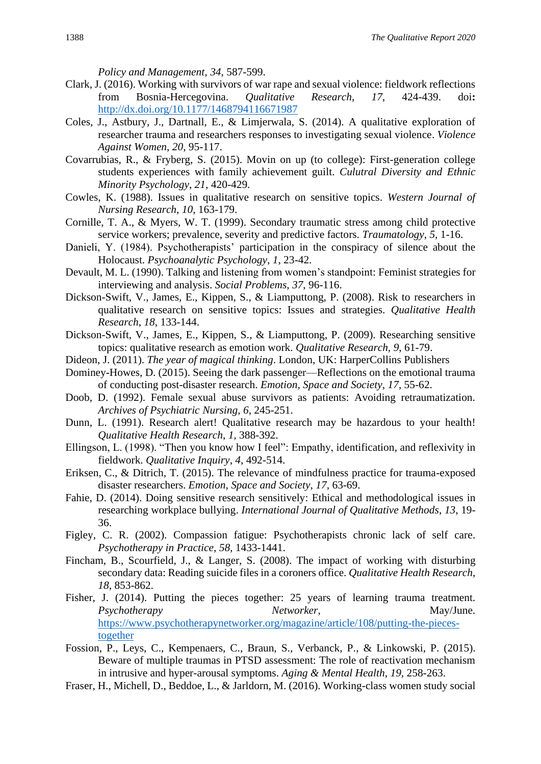*Policy and Management*, *34*, 587-599.

- Clark, J. (2016). Working with survivors of war rape and sexual violence: fieldwork reflections from Bosnia-Hercegovina. *Qualitative Research*, *17*, 424-439. doi**:**  <http://dx.doi.org/10.1177/1468794116671987>
- Coles, J., Astbury, J., Dartnall, E., & Limjerwala, S. (2014). A qualitative exploration of researcher trauma and researchers responses to investigating sexual violence. *Violence Against Women*, *20*, 95-117.
- Covarrubias, R., & Fryberg, S. (2015). Movin on up (to college): First-generation college students experiences with family achievement guilt. *Culutral Diversity and Ethnic Minority Psychology*, *21*, 420-429.
- Cowles, K. (1988). Issues in qualitative research on sensitive topics. *Western Journal of Nursing Research*, *10*, 163-179.
- Cornille, T. A., & Myers, W. T. (1999). Secondary traumatic stress among child protective service workers; prevalence, severity and predictive factors. *Traumatology*, *5,* 1-16.
- Danieli, Y. (1984). Psychotherapists' participation in the conspiracy of silence about the Holocaust. *Psychoanalytic Psychology, 1*, 23-42.
- Devault, M. L. (1990). Talking and listening from women's standpoint: Feminist strategies for interviewing and analysis. *Social Problems*, *37*, 96-116.
- Dickson-Swift, V., James, E., Kippen, S., & Liamputtong, P. (2008). Risk to researchers in qualitative research on sensitive topics: Issues and strategies. *Qualitative Health Research*, *18*, 133-144.
- Dickson-Swift, V., James, E., Kippen, S., & Liamputtong, P. (2009). Researching sensitive topics: qualitative research as emotion work. *Qualitative Research, 9*, 61-79.
- Dideon, J. (2011). *The year of magical thinking*. London, UK: HarperCollins Publishers
- Dominey-Howes, D. (2015). Seeing the dark passenger—Reflections on the emotional trauma of conducting post-disaster research. *Emotion, Space and Society*, *17*, 55-62.
- Doob, D. (1992). Female sexual abuse survivors as patients: Avoiding retraumatization. *Archives of Psychiatric Nursing*, *6*, 245-251.
- Dunn, L. (1991). Research alert! Qualitative research may be hazardous to your health! *Qualitative Health Research*, *1,* 388-392.
- Ellingson, L. (1998). "Then you know how I feel": Empathy, identification, and reflexivity in fieldwork. *Qualitative Inquiry*, *4*, 492-514.
- Eriksen, C., & Ditrich, T. (2015). The relevance of mindfulness practice for trauma-exposed disaster researchers. *Emotion, Space and Society*, *17,* 63-69.
- Fahie, D. (2014). Doing sensitive research sensitively: Ethical and methodological issues in researching workplace bullying. *International Journal of Qualitative Methods*, *13*, 19- 36.
- Figley, C. R. (2002). Compassion fatigue: Psychotherapists chronic lack of self care. *Psychotherapy in Practice*, *58,* 1433-1441.
- Fincham, B., Scourfield, J., & Langer, S. (2008). The impact of working with disturbing secondary data: Reading suicide files in a coroners office. *Qualitative Health Research*, *18*, 853-862.
- Fisher, J. (2014). Putting the pieces together: 25 years of learning trauma treatment. *Psychotherapy Networker*, May/June. [https://www.psychotherapynetworker.org/magazine/article/108/putting-the-pieces](https://www.psychotherapynetworker.org/magazine/article/108/putting-the-pieces-together)[together](https://www.psychotherapynetworker.org/magazine/article/108/putting-the-pieces-together)
- Fossion, P., Leys, C., Kempenaers, C., Braun, S., Verbanck, P., & Linkowski, P. (2015). Beware of multiple traumas in PTSD assessment: The role of reactivation mechanism in intrusive and hyper-arousal symptoms. *Aging & Mental Health*, *19,* 258-263.
- Fraser, H., Michell, D., Beddoe, L., & Jarldorn, M. (2016). Working-class women study social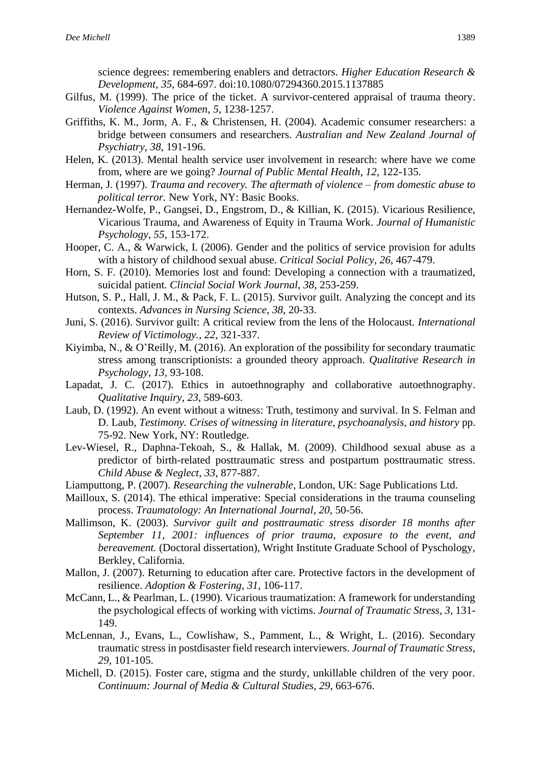science degrees: remembering enablers and detractors. *Higher Education Research & Development*, *35*, 684-697. doi:10.1080/07294360.2015.1137885

- Gilfus, M. (1999). The price of the ticket. A survivor-centered appraisal of trauma theory. *Violence Against Women*, *5*, 1238-1257.
- Griffiths, K. M., Jorm, A. F., & Christensen, H. (2004). Academic consumer researchers: a bridge between consumers and researchers. *Australian and New Zealand Journal of Psychiatry*, *38*, 191-196.
- Helen, K. (2013). Mental health service user involvement in research: where have we come from, where are we going? *Journal of Public Mental Health*, *12*, 122-135.
- Herman, J. (1997). *Trauma and recovery. The aftermath of violence – from domestic abuse to political terror.* New York, NY: Basic Books.
- Hernandez-Wolfe, P., Gangsei, D., Engstrom, D., & Killian, K. (2015). Vicarious Resilience, Vicarious Trauma, and Awareness of Equity in Trauma Work. *Journal of Humanistic Psychology*, *55*, 153-172.
- Hooper, C. A., & Warwick, I. (2006). Gender and the politics of service provision for adults with a history of childhood sexual abuse. *Critical Social Policy*, *26*, 467-479.
- Horn, S. F. (2010). Memories lost and found: Developing a connection with a traumatized, suicidal patient. *Clincial Social Work Journal*, *38*, 253-259.
- Hutson, S. P., Hall, J. M., & Pack, F. L. (2015). Survivor guilt. Analyzing the concept and its contexts. *Advances in Nursing Science*, *38*, 20-33.
- Juni, S. (2016). Survivor guilt: A critical review from the lens of the Holocaust. *International Review of Victimology.*, *22*, 321-337.
- Kiyimba, N., & O'Reilly, M. (2016). An exploration of the possibility for secondary traumatic stress among transcriptionists: a grounded theory approach. *Qualitative Research in Psychology*, *13,* 93-108.
- Lapadat, J. C. (2017). Ethics in autoethnography and collaborative autoethnography. *Qualitative Inquiry*, *23*, 589-603.
- Laub, D. (1992). An event without a witness: Truth, testimony and survival. In S. Felman and D. Laub, *Testimony. Crises of witnessing in literature, psychoanalysis, and history* pp. 75-92. New York, NY: Routledge.
- Lev-Wiesel, R., Daphna-Tekoah, S., & Hallak, M. (2009). Childhood sexual abuse as a predictor of birth-related posttraumatic stress and postpartum posttraumatic stress. *Child Abuse & Neglect*, *33,* 877-887.
- Liamputtong, P. (2007). *Researching the vulnerable*, London, UK: Sage Publications Ltd.
- Mailloux, S. (2014). The ethical imperative: Special considerations in the trauma counseling process. *Traumatology: An International Journal*, *20*, 50-56.
- Mallimson, K. (2003). *Survivor guilt and posttraumatic stress disorder 18 months after September 11, 2001: influences of prior trauma, exposure to the event, and bereavement.* (Doctoral dissertation), Wright Institute Graduate School of Pyschology, Berkley, California.
- Mallon, J. (2007). Returning to education after care. Protective factors in the development of resilience. *Adoption & Fostering*, *31,* 106-117.
- McCann, L., & Pearlman, L. (1990). Vicarious traumatization: A framework for understanding the psychological effects of working with victims. *Journal of Traumatic Stress*, *3*, 131- 149.
- McLennan, J., Evans, L., Cowlishaw, S., Pamment, L., & Wright, L. (2016). Secondary traumatic stress in postdisaster field research interviewers. *Journal of Traumatic Stress*, *29*, 101-105.
- Michell, D. (2015). Foster care, stigma and the sturdy, unkillable children of the very poor. *Continuum: Journal of Media & Cultural Studies*, *29*, 663-676.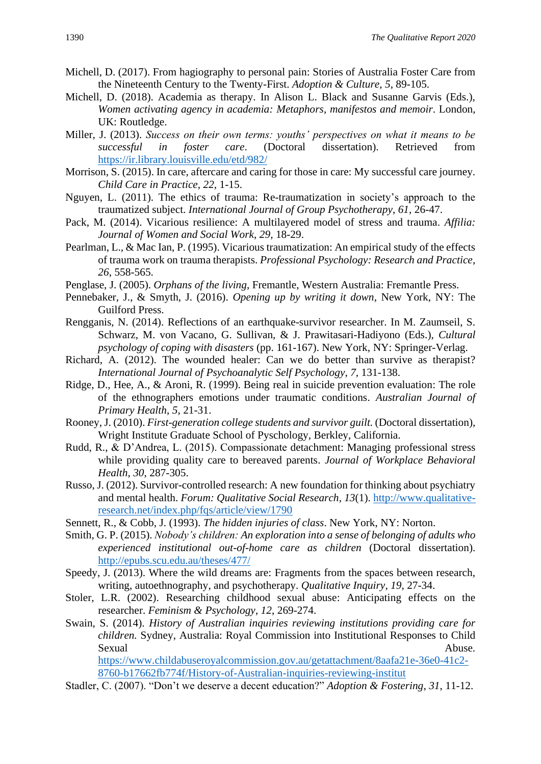- Michell, D. (2017). From hagiography to personal pain: Stories of Australia Foster Care from the Nineteenth Century to the Twenty-First. *Adoption & Culture*, *5*, 89-105.
- Michell, D. (2018). Academia as therapy. In Alison L. Black and Susanne Garvis (Eds.), *Women activating agency in academia: Metaphors, manifestos and memoir*. London, UK: Routledge.
- Miller, J. (2013). *Success on their own terms: youths' perspectives on what it means to be successful in foster care*. (Doctoral dissertation). Retrieved from <https://ir.library.louisville.edu/etd/982/>
- Morrison, S. (2015). In care, aftercare and caring for those in care: My successful care journey. *Child Care in Practice*, *22*, 1-15.
- Nguyen, L. (2011). The ethics of trauma: Re-traumatization in society's approach to the traumatized subject. *International Journal of Group Psychotherapy*, *61,* 26-47.
- Pack, M. (2014). Vicarious resilience: A multilayered model of stress and trauma. *Affilia: Journal of Women and Social Work*, *29,* 18-29.
- Pearlman, L., & Mac Ian, P. (1995). Vicarious traumatization: An empirical study of the effects of trauma work on trauma therapists. *Professional Psychology: Research and Practice*, *26*, 558-565.
- Penglase, J. (2005). *Orphans of the living*, Fremantle, Western Australia: Fremantle Press.
- Pennebaker, J., & Smyth, J. (2016). *Opening up by writing it down*, New York, NY: The Guilford Press.
- Rengganis, N. (2014). Reflections of an earthquake-survivor researcher. In M. Zaumseil, S. Schwarz, M. von Vacano, G. Sullivan, & J. Prawitasari-Hadiyono (Eds.), *Cultural psychology of coping with disasters* (pp. 161-167). New York, NY: Springer-Verlag.
- Richard, A. (2012). The wounded healer: Can we do better than survive as therapist? *International Journal of Psychoanalytic Self Psychology*, *7,* 131-138.
- Ridge, D., Hee, A., & Aroni, R. (1999). Being real in suicide prevention evaluation: The role of the ethnographers emotions under traumatic conditions. *Australian Journal of Primary Health*, *5*, 21-31.
- Rooney, J. (2010). *First-generation college students and survivor guilt.* (Doctoral dissertation), Wright Institute Graduate School of Pyschology, Berkley, California.
- Rudd, R., & D'Andrea, L. (2015). Compassionate detachment: Managing professional stress while providing quality care to bereaved parents. *Journal of Workplace Behavioral Health*, *30*, 287-305.
- Russo, J. (2012). Survivor-controlled research: A new foundation for thinking about psychiatry and mental health. *Forum: Qualitative Social Research, 13*(1). [http://www.qualitative](http://www.qualitative-research.net/index.php/fqs/article/view/1790)[research.net/index.php/fqs/article/view/1790](http://www.qualitative-research.net/index.php/fqs/article/view/1790)
- Sennett, R., & Cobb, J. (1993). *The hidden injuries of class*. New York, NY: Norton.
- Smith, G. P. (2015). *Nobody's children: An exploration into a sense of belonging of adults who experienced institutional out-of-home care as children* (Doctoral dissertation). <http://epubs.scu.edu.au/theses/477/>
- Speedy, J. (2013). Where the wild dreams are: Fragments from the spaces between research, writing, autoethnography, and psychotherapy. *Qualitative Inquiry*, *19*, 27-34.
- Stoler, L.R. (2002). Researching childhood sexual abuse: Anticipating effects on the researcher. *Feminism & Psychology*, *12*, 269-274.
- Swain, S. (2014). *History of Australian inquiries reviewing institutions providing care for children.* Sydney, Australia: Royal Commission into Institutional Responses to Child Sexual Abuse.

[https://www.childabuseroyalcommission.gov.au/getattachment/8aafa21e-36e0-41c2-](https://www.childabuseroyalcommission.gov.au/getattachment/8aafa21e-36e0-41c2-8760-b17662fb774f/History-of-Australian-inquiries-reviewing-institut) [8760-b17662fb774f/History-of-Australian-inquiries-reviewing-institut](https://www.childabuseroyalcommission.gov.au/getattachment/8aafa21e-36e0-41c2-8760-b17662fb774f/History-of-Australian-inquiries-reviewing-institut)

Stadler, C. (2007). "Don't we deserve a decent education?" *Adoption & Fostering*, *31*, 11-12.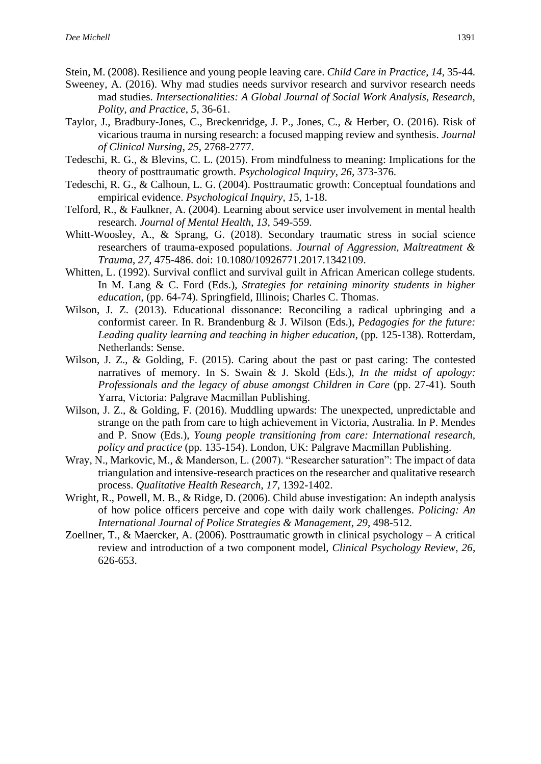- Stein, M. (2008). Resilience and young people leaving care. *Child Care in Practice*, *14,* 35-44.
- Sweeney, A. (2016). Why mad studies needs survivor research and survivor research needs mad studies. *Intersectionalities: A Global Journal of Social Work Analysis, Research, Polity, and Practice*, *5*, 36-61.
- Taylor, J., Bradbury-Jones, C., Breckenridge, J. P., Jones, C., & Herber, O. (2016). Risk of vicarious trauma in nursing research: a focused mapping review and synthesis. *Journal of Clinical Nursing*, *25,* 2768-2777.
- Tedeschi, R. G., & Blevins, C. L. (2015). From mindfulness to meaning: Implications for the theory of posttraumatic growth. *Psychological Inquiry*, *26,* 373-376.
- Tedeschi, R. G., & Calhoun, L. G. (2004). Posttraumatic growth: Conceptual foundations and empirical evidence. *Psychological Inquiry*, *1*5, 1-18.
- Telford, R., & Faulkner, A. (2004). Learning about service user involvement in mental health research. *Journal of Mental Health*, *13*, 549-559.
- Whitt-Woosley, A., & Sprang, G. (2018). Secondary traumatic stress in social science researchers of trauma-exposed populations. *Journal of Aggression, Maltreatment & Trauma*, *27*, 475-486. doi: 10.1080/10926771.2017.1342109.
- Whitten, L. (1992). Survival conflict and survival guilt in African American college students. In M. Lang & C. Ford (Eds.), *Strategies for retaining minority students in higher education*, (pp. 64-74). Springfield, Illinois; Charles C. Thomas.
- Wilson, J. Z. (2013). Educational dissonance: Reconciling a radical upbringing and a conformist career. In R. Brandenburg & J. Wilson (Eds.), *Pedagogies for the future: Leading quality learning and teaching in higher education*, (pp. 125-138). Rotterdam, Netherlands: Sense.
- Wilson, J. Z., & Golding, F. (2015). Caring about the past or past caring: The contested narratives of memory. In S. Swain & J. Skold (Eds.), *In the midst of apology: Professionals and the legacy of abuse amongst Children in Care* (pp. 27-41). South Yarra, Victoria: Palgrave Macmillan Publishing.
- Wilson, J. Z., & Golding, F. (2016). Muddling upwards: The unexpected, unpredictable and strange on the path from care to high achievement in Victoria, Australia. In P. Mendes and P. Snow (Eds.), *Young people transitioning from care: International research, policy and practice* (pp. 135-154). London, UK: Palgrave Macmillan Publishing.
- Wray, N., Markovic, M., & Manderson, L. (2007). "Researcher saturation": The impact of data triangulation and intensive-research practices on the researcher and qualitative research process. *Qualitative Health Research*, *17*, 1392-1402.
- Wright, R., Powell, M. B., & Ridge, D. (2006). Child abuse investigation: An indepth analysis of how police officers perceive and cope with daily work challenges. *Policing: An International Journal of Police Strategies & Management*, *29*, 498-512.
- Zoellner, T., & Maercker, A. (2006). Posttraumatic growth in clinical psychology A critical review and introduction of a two component model, *Clinical Psychology Review, 26*, 626-653.